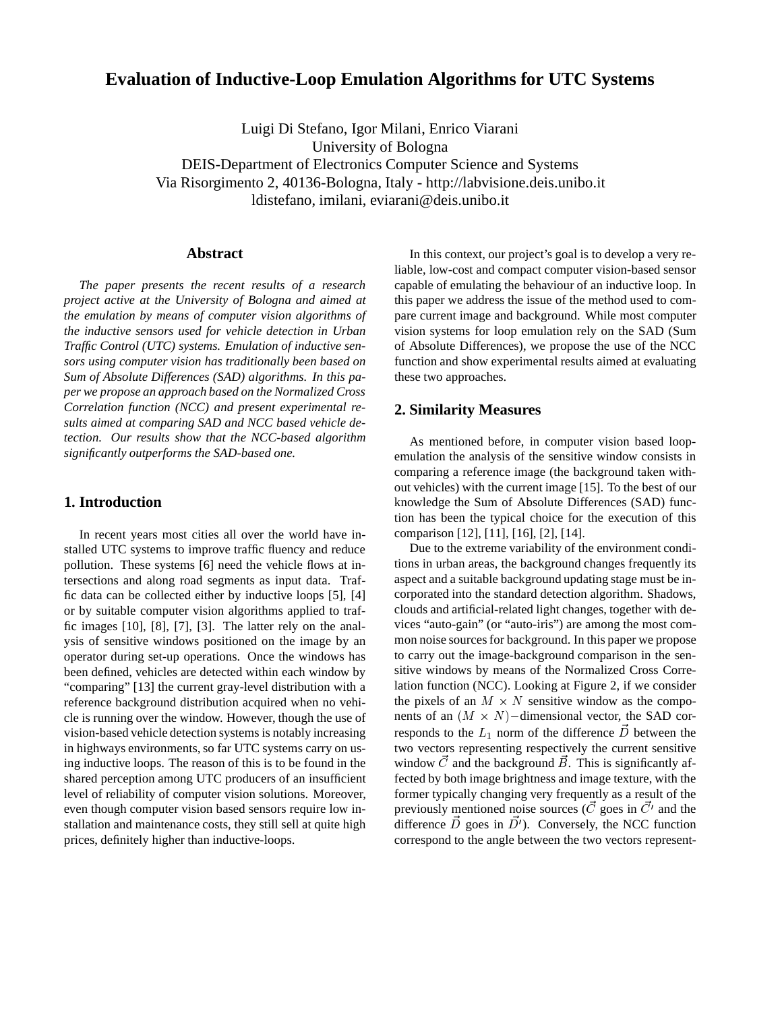# **Evaluation of Inductive-Loop Emulation Algorithms for UTC Systems**

Luigi Di Stefano, Igor Milani, Enrico Viarani University of Bologna DEIS-Department of Electronics Computer Science and Systems Via Risorgimento 2, 40136-Bologna, Italy - http://labvisione.deis.unibo.it ldistefano, imilani, eviarani@deis.unibo.it

## **Abstract**

*The paper presents the recent results of a research project active at the University of Bologna and aimed at the emulation by means of computer vision algorithms of the inductive sensors used for vehicle detection in Urban Traffic Control (UTC) systems. Emulation of inductive sensors using computer vision has traditionally been based on Sum of Absolute Differences (SAD) algorithms. In this paper we propose an approach based on the Normalized Cross Correlation function (NCC) and present experimental results aimed at comparing SAD and NCC based vehicle detection. Our results show that the NCC-based algorithm significantly outperforms the SAD-based one.*

## **1. Introduction**

In recent years most cities all over the world have installed UTC systems to improve traffic fluency and reduce pollution. These systems [6] need the vehicle flows at intersections and along road segments as input data. Traffic data can be collected either by inductive loops [5], [4] or by suitable computer vision algorithms applied to traffic images [10], [8], [7], [3]. The latter rely on the analysis of sensitive windows positioned on the image by an operator during set-up operations. Once the windows has been defined, vehicles are detected within each window by "comparing" [13] the current gray-level distribution with a reference background distribution acquired when no vehicle is running over the window. However, though the use of vision-based vehicle detection systems is notably increasing in highways environments, so far UTC systems carry on using inductive loops. The reason of this is to be found in the shared perception among UTC producers of an insufficient level of reliability of computer vision solutions. Moreover, even though computer vision based sensors require low installation and maintenance costs, they still sell at quite high prices, definitely higher than inductive-loops.

In this context, our project's goal is to develop a very reliable, low-cost and compact computer vision-based sensor capable of emulating the behaviour of an inductive loop. In this paper we address the issue of the method used to compare current image and background. While most computer vision systems for loop emulation rely on the SAD (Sum of Absolute Differences), we propose the use of the NCC function and show experimental results aimed at evaluating these two approaches.

### **2. Similarity Measures**

As mentioned before, in computer vision based loopemulation the analysis of the sensitive window consists in comparing a reference image (the background taken without vehicles) with the current image [15]. To the best of our knowledge the Sum of Absolute Differences (SAD) function has been the typical choice for the execution of this comparison [12], [11], [16], [2], [14].

Due to the extreme variability of the environment conditions in urban areas, the background changes frequently its aspect and a suitable background updating stage must be incorporated into the standard detection algorithm. Shadows, clouds and artificial-related light changes, together with devices "auto-gain" (or "auto-iris") are among the most common noise sources for background. In this paper we propose to carry out the image-background comparison in the sensitive windows by means of the Normalized Cross Correlation function (NCC). Looking at Figure 2, if we consider the pixels of an  $M \times N$  sensitive window as the components of an  $(M \times N)$ –dimensional vector, the SAD corresponds to the  $L_1$  norm of the difference D between the two vectors representing respectively the current sensitive window  $\vec{C}$  and the background  $\vec{B}$ . This is significantly affected by both image brightness and image texture, with the former typically changing very frequently as a result of the previously mentioned noise sources (C goes in  $C<sup>t</sup>$  and the difference  $\dot{D}$  goes in  $\dot{D}'$ ). Conversely, the NCC function correspond to the angle between the two vectors represent-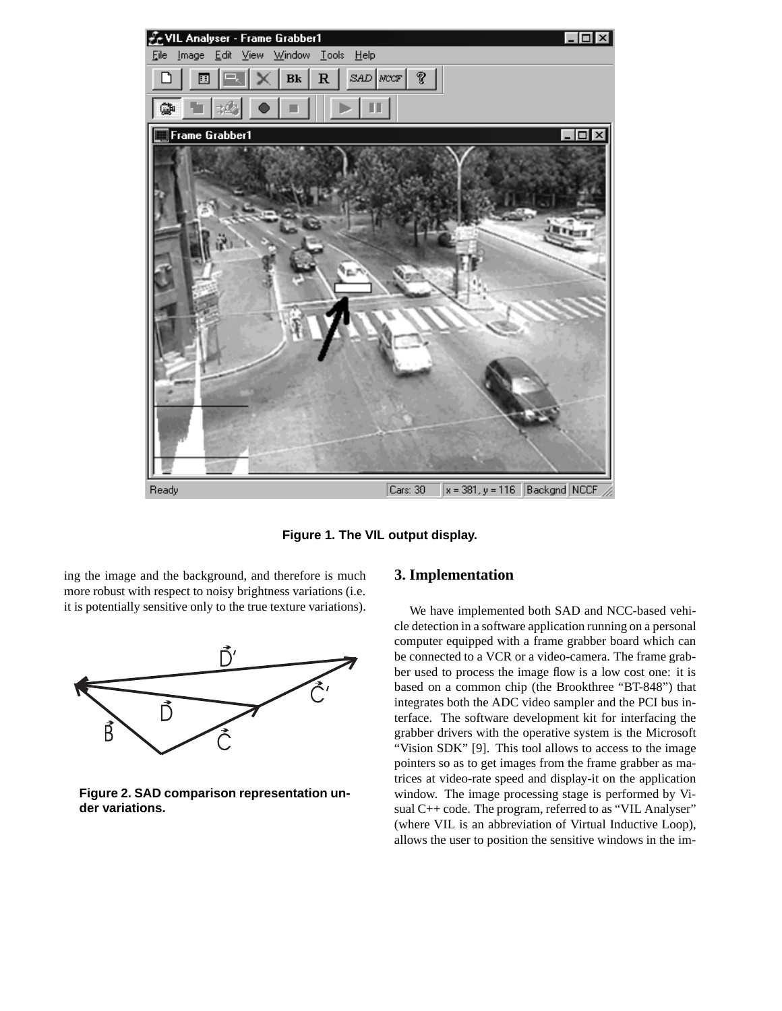

**Figure 1. The VIL output display.**

ing the image and the background, and therefore is much more robust with respect to noisy brightness variations (i.e. it is potentially sensitive only to the true texture variations).



**Figure 2. SAD comparison representation under variations.**

## **3. Implementation**

We have implemented both SAD and NCC-based vehicle detection in a software application running on a personal computer equipped with a frame grabber board which can be connected to a VCR or a video-camera. The frame grabber used to process the image flow is a low cost one: it is based on a common chip (the Brookthree "BT-848") that integrates both the ADC video sampler and the PCI bus interface. The software development kit for interfacing the grabber drivers with the operative system is the Microsoft "Vision SDK" [9]. This tool allows to access to the image pointers so as to get images from the frame grabber as matrices at video-rate speed and display-it on the application window. The image processing stage is performed by Visual C++ code. The program, referred to as "VIL Analyser" (where VIL is an abbreviation of Virtual Inductive Loop), allows the user to position the sensitive windows in the im-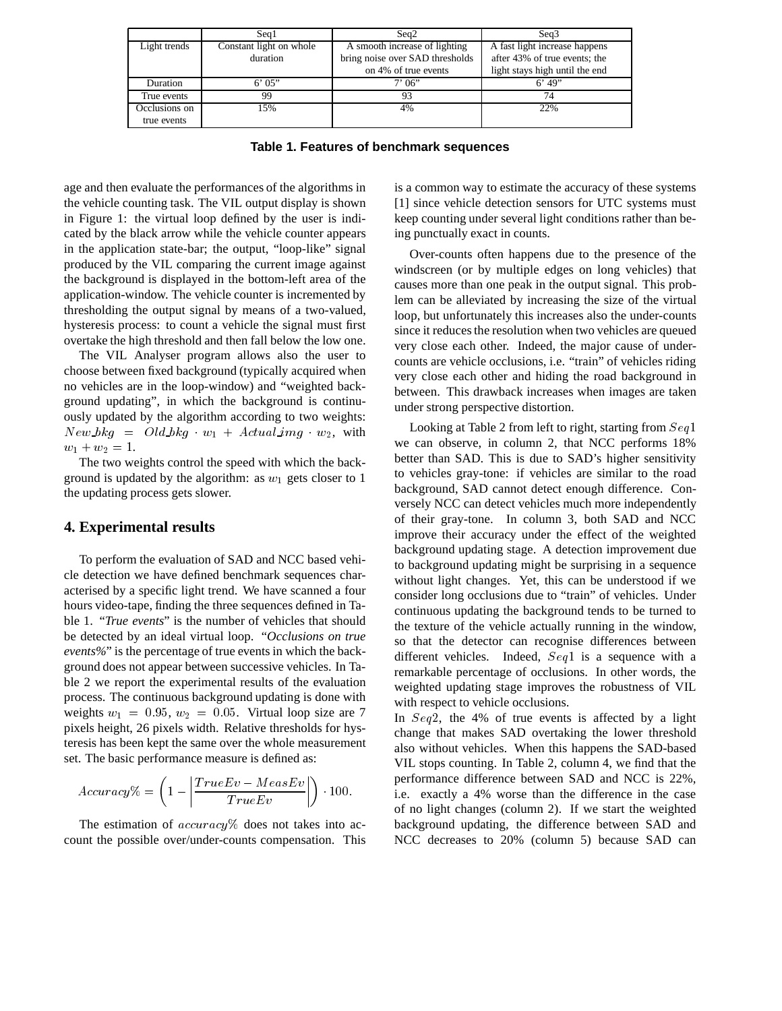|               | Sea1                    | Seq2                            | Seq <sub>3</sub>               |
|---------------|-------------------------|---------------------------------|--------------------------------|
| Light trends  | Constant light on whole | A smooth increase of lighting   | A fast light increase happens  |
|               | duration                | bring noise over SAD thresholds | after 43% of true events; the  |
|               |                         | on 4% of true events            | light stays high until the end |
| Duration      | 6'05"                   | 7'06''                          | $6'$ 49"                       |
| True events   | 99                      | 93                              | 74                             |
| Occlusions on | 15%                     | 4%                              | 22%                            |
| true events   |                         |                                 |                                |

**Table 1. Features of benchmark sequences**

age and then evaluate the performances of the algorithms in the vehicle counting task. The VIL output display is shown in Figure 1: the virtual loop defined by the user is indicated by the black arrow while the vehicle counter appears in the application state-bar; the output, "loop-like" signal produced by the VIL comparing the current image against the background is displayed in the bottom-left area of the application-window. The vehicle counter is incremented by thresholding the output signal by means of a two-valued, hysteresis process: to count a vehicle the signal must first overtake the high threshold and then fall below the low one.

The VIL Analyser program allows also the user to choose between fixed background (typically acquired when no vehicles are in the loop-window) and "weighted background updating", in which the background is continuously updated by the algorithm according to two weights:  $New_bkg = Old_bkg$   $w_1 + Actual\,img - w_2$ , with  $w_1 + w_2 = 1.$ 

The two weights control the speed with which the background is updated by the algorithm: as  $w_1$  gets closer to 1 the updating process gets slower.

### **4. Experimental results**

To perform the evaluation of SAD and NCC based vehicle detection we have defined benchmark sequences characterised by a specific light trend. We have scanned a four hours video-tape, finding the three sequences defined in Table 1. "*True events*" is the number of vehicles that should be detected by an ideal virtual loop. "*Occlusions on true events%*" is the percentage of true events in which the background does not appear between successive vehicles. In Table 2 we report the experimental results of the evaluation process. The continuous background updating is done with weights  $w_1 = 0.95$ ,  $w_2 = 0.05$ . Virtual loop size are 7 pixels height, 26 pixels width. Relative thresholds for hysteresis has been kept the same over the whole measurement set. The basic performance measure is defined as:

$$
Accuracy\% = \left(1 - \left|\frac{TrueEv - MeasEv}{TrueEv}\right|\right) \cdot 100.
$$

The estimation of  $accuracy\%$  does not takes into account the possible over/under-counts compensation. This is a common way to estimate the accuracy of these systems [1] since vehicle detection sensors for UTC systems must keep counting under several light conditions rather than being punctually exact in counts.

Over-counts often happens due to the presence of the windscreen (or by multiple edges on long vehicles) that causes more than one peak in the output signal. This problem can be alleviated by increasing the size of the virtual loop, but unfortunately this increases also the under-counts since it reduces the resolution when two vehicles are queued very close each other. Indeed, the major cause of undercounts are vehicle occlusions, i.e. "train" of vehicles riding very close each other and hiding the road background in between. This drawback increases when images are taken under strong perspective distortion.

Looking at Table 2 from left to right, starting from  $Seq1$ we can observe, in column 2, that NCC performs 18% better than SAD. This is due to SAD's higher sensitivity to vehicles gray-tone: if vehicles are similar to the road background, SAD cannot detect enough difference. Conversely NCC can detect vehicles much more independently of their gray-tone. In column 3, both SAD and NCC improve their accuracy under the effect of the weighted background updating stage. A detection improvement due to background updating might be surprising in a sequence without light changes. Yet, this can be understood if we consider long occlusions due to "train" of vehicles. Under continuous updating the background tends to be turned to the texture of the vehicle actually running in the window, so that the detector can recognise differences between different vehicles. Indeed, Seq<sup>1</sup> is a sequence with a remarkable percentage of occlusions. In other words, the weighted updating stage improves the robustness of VIL with respect to vehicle occlusions.

In Seq<sup>2</sup>, the 4% of true events is affected by a light change that makes SAD overtaking the lower threshold also without vehicles. When this happens the SAD-based VIL stops counting. In Table 2, column 4, we find that the performance difference between SAD and NCC is 22%, i.e. exactly a 4% worse than the difference in the case of no light changes (column 2). If we start the weighted background updating, the difference between SAD and NCC decreases to 20% (column 5) because SAD can